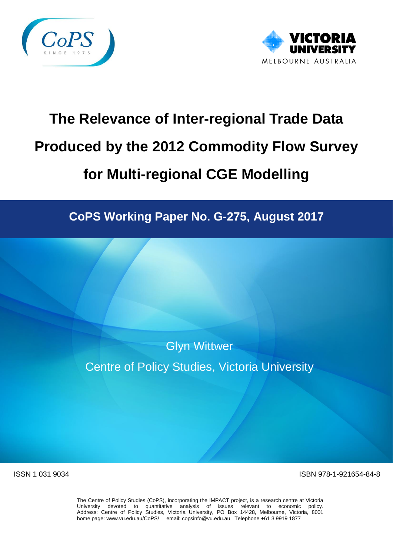



# **The Relevance of Inter-regional Trade Data Produced by the 2012 Commodity Flow Survey for Multi-regional CGE Modelling**

**CoPS Working Paper No. G-275, August 2017**

Glyn Wittwer Centre of Policy Studies, Victoria University

ISSN 1 031 9034 ISBN 978-1-921654-84-8

The Centre of Policy Studies (CoPS), incorporating the IMPACT project, is a research centre at Victoria University devoted to quantitative analysis of issues relevant to economic policy. Address: Centre of Policy Studies, Victoria University, PO Box 14428, Melbourne, Victoria, 8001 home page: www.vu.edu.au/CoPS/ email: copsinfo@vu.edu.au Telephone +61 3 9919 1877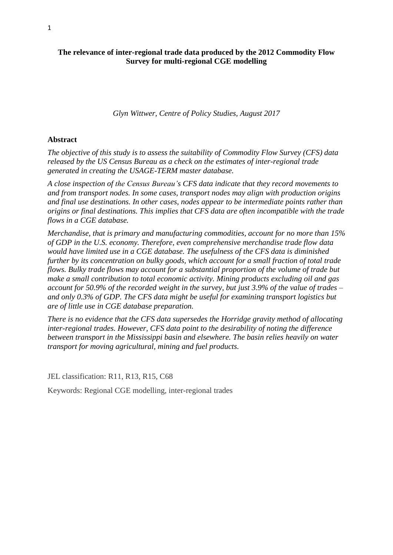#### **The relevance of inter-regional trade data produced by the 2012 Commodity Flow Survey for multi-regional CGE modelling**

*Glyn Wittwer, Centre of Policy Studies, August 2017*

#### **Abstract**

*The objective of this study is to assess the suitability of Commodity Flow Survey (CFS) data released by the US Census Bureau as a check on the estimates of inter-regional trade generated in creating the USAGE-TERM master database.*

*A close inspection of the Census Bureau's CFS data indicate that they record movements to and from transport nodes. In some cases, transport nodes may align with production origins and final use destinations. In other cases, nodes appear to be intermediate points rather than origins or final destinations. This implies that CFS data are often incompatible with the trade flows in a CGE database.*

*Merchandise, that is primary and manufacturing commodities, account for no more than 15% of GDP in the U.S. economy. Therefore, even comprehensive merchandise trade flow data would have limited use in a CGE database. The usefulness of the CFS data is diminished further by its concentration on bulky goods, which account for a small fraction of total trade flows. Bulky trade flows may account for a substantial proportion of the volume of trade but make a small contribution to total economic activity. Mining products excluding oil and gas account for 50.9% of the recorded weight in the survey, but just 3.9% of the value of trades – and only 0.3% of GDP. The CFS data might be useful for examining transport logistics but are of little use in CGE database preparation.* 

*There is no evidence that the CFS data supersedes the Horridge gravity method of allocating inter-regional trades. However, CFS data point to the desirability of noting the difference between transport in the Mississippi basin and elsewhere. The basin relies heavily on water transport for moving agricultural, mining and fuel products.*

JEL classification: R11, R13, R15, C68

Keywords: Regional CGE modelling, inter-regional trades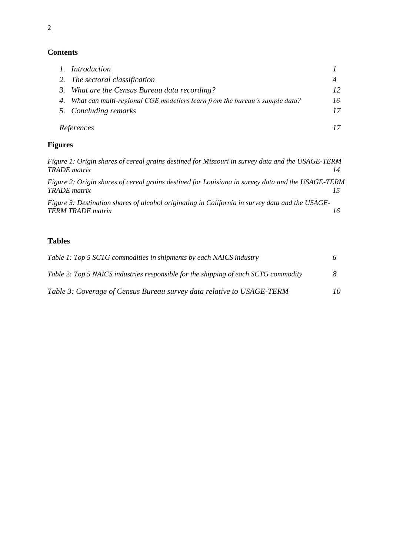# **Contents**

|    | 1. Introduction                                                            |    |
|----|----------------------------------------------------------------------------|----|
|    | 2. The sectoral classification                                             |    |
|    | 3. What are the Census Bureau data recording?                              | 12 |
| 4. | What can multi-regional CGE modellers learn from the bureau's sample data? | 16 |
|    | 5. Concluding remarks                                                      | 17 |
|    | References                                                                 |    |

# **Figures**

| Figure 1: Origin shares of cereal grains destined for Missouri in survey data and the USAGE-TERM<br><b>TRADE</b> matrix     | 14 |
|-----------------------------------------------------------------------------------------------------------------------------|----|
| Figure 2: Origin shares of cereal grains destined for Louisiana in survey data and the USAGE-TERM<br><b>TRADE</b> matrix    |    |
| Figure 3: Destination shares of alcohol originating in California in survey data and the USAGE-<br><b>TERM TRADE matrix</b> | 16 |
|                                                                                                                             |    |

# **Tables**

| Table 1: Top 5 SCTG commodities in shipments by each NAICS industry                 |    |
|-------------------------------------------------------------------------------------|----|
| Table 2: Top 5 NAICS industries responsible for the shipping of each SCTG commodity |    |
| Table 3: Coverage of Census Bureau survey data relative to USAGE-TERM               | 10 |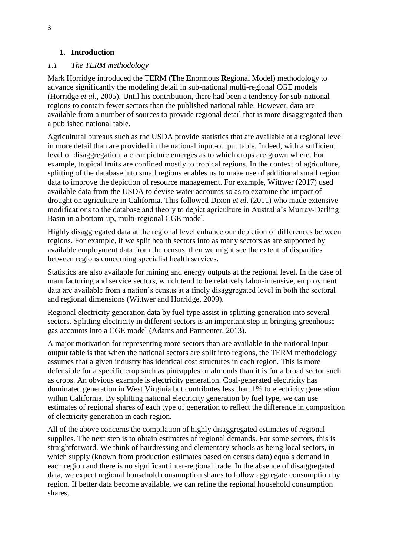#### **1. Introduction**

#### *1.1 The TERM methodology*

Mark Horridge introduced the TERM (**T**he **E**normous **R**egional Model) methodology to advance significantly the modeling detail in sub-national multi-regional CGE models (Horridge *et al.*, 2005). Until his contribution, there had been a tendency for sub-national regions to contain fewer sectors than the published national table. However, data are available from a number of sources to provide regional detail that is more disaggregated than a published national table.

Agricultural bureaus such as the USDA provide statistics that are available at a regional level in more detail than are provided in the national input-output table. Indeed, with a sufficient level of disaggregation, a clear picture emerges as to which crops are grown where. For example, tropical fruits are confined mostly to tropical regions. In the context of agriculture, splitting of the database into small regions enables us to make use of additional small region data to improve the depiction of resource management. For example, Wittwer (2017) used available data from the USDA to devise water accounts so as to examine the impact of drought on agriculture in California. This followed Dixon *et al*. (2011) who made extensive modifications to the database and theory to depict agriculture in Australia's Murray-Darling Basin in a bottom-up, multi-regional CGE model.

Highly disaggregated data at the regional level enhance our depiction of differences between regions. For example, if we split health sectors into as many sectors as are supported by available employment data from the census, then we might see the extent of disparities between regions concerning specialist health services.

Statistics are also available for mining and energy outputs at the regional level. In the case of manufacturing and service sectors, which tend to be relatively labor-intensive, employment data are available from a nation's census at a finely disaggregated level in both the sectoral and regional dimensions (Wittwer and Horridge, 2009).

Regional electricity generation data by fuel type assist in splitting generation into several sectors. Splitting electricity in different sectors is an important step in bringing greenhouse gas accounts into a CGE model (Adams and Parmenter, 2013).

A major motivation for representing more sectors than are available in the national inputoutput table is that when the national sectors are split into regions, the TERM methodology assumes that a given industry has identical cost structures in each region. This is more defensible for a specific crop such as pineapples or almonds than it is for a broad sector such as crops. An obvious example is electricity generation. Coal-generated electricity has dominated generation in West Virginia but contributes less than 1% to electricity generation within California. By splitting national electricity generation by fuel type, we can use estimates of regional shares of each type of generation to reflect the difference in composition of electricity generation in each region.

All of the above concerns the compilation of highly disaggregated estimates of regional supplies. The next step is to obtain estimates of regional demands. For some sectors, this is straightforward. We think of hairdressing and elementary schools as being local sectors, in which supply (known from production estimates based on census data) equals demand in each region and there is no significant inter-regional trade. In the absence of disaggregated data, we expect regional household consumption shares to follow aggregate consumption by region. If better data become available, we can refine the regional household consumption shares.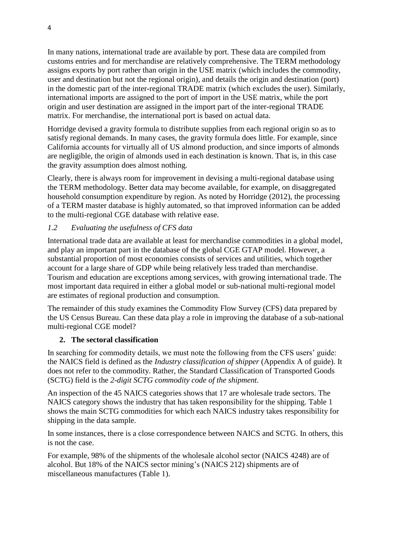In many nations, international trade are available by port. These data are compiled from customs entries and for merchandise are relatively comprehensive. The TERM methodology assigns exports by port rather than origin in the USE matrix (which includes the commodity, user and destination but not the regional origin), and details the origin and destination (port) in the domestic part of the inter-regional TRADE matrix (which excludes the user). Similarly, international imports are assigned to the port of import in the USE matrix, while the port origin and user destination are assigned in the import part of the inter-regional TRADE matrix. For merchandise, the international port is based on actual data.

Horridge devised a gravity formula to distribute supplies from each regional origin so as to satisfy regional demands. In many cases, the gravity formula does little. For example, since California accounts for virtually all of US almond production, and since imports of almonds are negligible, the origin of almonds used in each destination is known. That is, in this case the gravity assumption does almost nothing.

Clearly, there is always room for improvement in devising a multi-regional database using the TERM methodology. Better data may become available, for example, on disaggregated household consumption expenditure by region. As noted by Horridge (2012), the processing of a TERM master database is highly automated, so that improved information can be added to the multi-regional CGE database with relative ease.

## *1.2 Evaluating the usefulness of CFS data*

International trade data are available at least for merchandise commodities in a global model, and play an important part in the database of the global CGE GTAP model. However, a substantial proportion of most economies consists of services and utilities, which together account for a large share of GDP while being relatively less traded than merchandise. Tourism and education are exceptions among services, with growing international trade. The most important data required in either a global model or sub-national multi-regional model are estimates of regional production and consumption.

The remainder of this study examines the Commodity Flow Survey (CFS) data prepared by the US Census Bureau. Can these data play a role in improving the database of a sub-national multi-regional CGE model?

#### **2. The sectoral classification**

In searching for commodity details, we must note the following from the CFS users' guide: the NAICS field is defined as the *Industry classification of shipper* (Appendix A of guide). It does not refer to the commodity. Rather, the Standard Classification of Transported Goods (SCTG) field is the *2-digit SCTG commodity code of the shipment.*

An inspection of the 45 NAICS categories shows that 17 are wholesale trade sectors. The NAICS category shows the industry that has taken responsibility for the shipping. Table 1 shows the main SCTG commodities for which each NAICS industry takes responsibility for shipping in the data sample.

In some instances, there is a close correspondence between NAICS and SCTG. In others, this is not the case.

For example, 98% of the shipments of the wholesale alcohol sector (NAICS 4248) are of alcohol. But 18% of the NAICS sector mining's (NAICS 212) shipments are of miscellaneous manufactures (Table 1).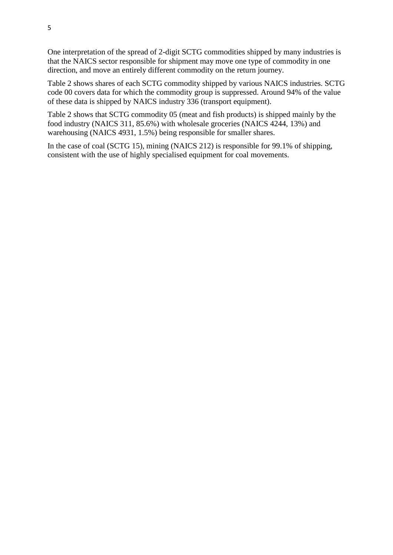One interpretation of the spread of 2-digit SCTG commodities shipped by many industries is that the NAICS sector responsible for shipment may move one type of commodity in one direction, and move an entirely different commodity on the return journey.

Table 2 shows shares of each SCTG commodity shipped by various NAICS industries. SCTG code 00 covers data for which the commodity group is suppressed. Around 94% of the value of these data is shipped by NAICS industry 336 (transport equipment).

Table 2 shows that SCTG commodity 05 (meat and fish products) is shipped mainly by the food industry (NAICS 311, 85.6%) with wholesale groceries (NAICS 4244, 13%) and warehousing (NAICS 4931, 1.5%) being responsible for smaller shares.

In the case of coal (SCTG 15), mining (NAICS 212) is responsible for 99.1% of shipping, consistent with the use of highly specialised equipment for coal movements.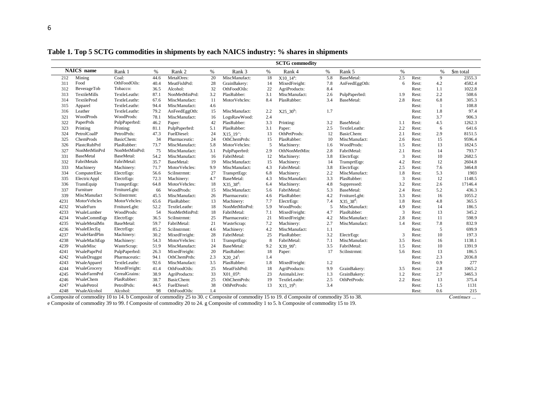|      | <b>NAICS</b> name | Rank 1        | $\%$ | Rank 2        | %                  | Rank 3                  | $\%$ | Rank 4                  | $\%$ | Rank 5                  | $\%$ |       | %   | \$m total |
|------|-------------------|---------------|------|---------------|--------------------|-------------------------|------|-------------------------|------|-------------------------|------|-------|-----|-----------|
| 212  | Mining            | Coal:         | 44.6 | MetalOres:    | 20                 | MiscManufact:           | 18   | $X10$ $14^a$ :          | 5.8  | BaseMetal:              | 2.5  | Rest: | 9   | 2355.3    |
| 311  | Food              | OthFoodOils:  | 40.4 | MeatFishPrd:  | 28                 | GrainBakery:            | 14   | MixedFreight:           | 7.8  | AnFeedEggOth:           | 6    | Rest: | 4.2 | 4582.4    |
| 312  | BeverageTob       | Tobacco:      | 36.5 | Alcohol:      | 32                 | OthFoodOils:            | 22   | AgriProducts:           | 8.4  |                         |      | Rest: | 1.1 | 1022.8    |
| 313  | TextileMills      | TextleLeathr: | 87.1 | NonMetMinPrd: | 3.2                | PlasRubber:             | 3.1  | MiscManufact:           | 2.6  | PulpPaperbrd:           | 1.9  | Rest: | 2.2 | 508.6     |
| 314  | TextileProd       | TextleLeathr: | 67.6 | MiscManufact: | 11                 | MotorVehcles:           | 8.4  | PlasRubber:             | 3.4  | BaseMetal:              | 2.8  | Rest: | 6.8 | 305.3     |
| 315  | Apparel           | TextleLeathr: | 94.4 | MiscManufact: | 4.6                |                         |      |                         |      |                         |      | Rest: | -1  | 108.8     |
| 316  | Leather           | TextleLeathr: | 79.2 | AnFeedEggOth: | 15                 | MiscManufact:           | 2.2  | $X25$ 30 <sup>b</sup> : | 1.7  |                         |      | Rest: | 1.8 | 97.4      |
| 321  | WoodProds         | WoodProds:    | 78.1 | MiscManufact: | 16                 | LogsRawWood:            | 2.4  |                         |      |                         |      | Rest: | 3.7 | 906.3     |
| 322  | PaperPrds         | PulpPaperbrd: | 46.2 | Paper:        | 42                 | PlasRubber:             | 3.3  | Printing:               | 3.2  | BaseMetal:              | 1.1  | Rest: | 4.5 | 1262.3    |
| 323  | Printing          | Printing:     | 81.1 | PulpPaperbrd: | 5.1                | PlasRubber:             | 3.1  | Paper:                  | 2.5  | TextleLeathr:           | 2.2  | Rest: | 6   | 641.6     |
| 324  | PetrolCoalP       | PetrolPrds:   | 47.3 | FuelDiesel:   | 24                 | $X15$ 19 <sup>c</sup> : | 13   | OthPetProds:            | 12   | BasicChem:              | 2.1  | Rest: | 2.9 | 8151.5    |
| 325  | ChemProds         | BasicChem:    | 34   | Pharmaceutic: | 24                 | OthChemPrds:            | 15   | PlasRubber:             | 10   | MiscManufact:           | 2.6  | Rest: | 15  | 9596.4    |
| 326  | PlastcRubPrd      | PlasRubber:   | 73.7 | MiscManufact: | 5.8                | MotorVehcles:           | 5    | Machinery:              | 1.6  | WoodProds:              | 1.5  | Rest: | 13  | 1824.5    |
| 327  | NonMetMinPrd      | NonMetMinPrd: | 75   | MiscManufact: | 3.1                | PulpPaperbrd:           | 2.9  | OthNonMetMin:           | 2.8  | FabriMetal:             | 2.1  | Rest: | 14  | 793.7     |
| 331  | <b>BaseMetal</b>  | BaseMetal:    | 54.2 | MiscManufact: | 16                 | FabriMetal:             | 12   | Machinery:              | 3.8  | ElectrEqp:              | 3    | Rest: | 10  | 2682.5    |
| 332  | FabriMetals       | FabriMetal:   | 35.7 | BaseMetal:    | 19                 | MiscManufact:           | 15   | Machinery:              | 14   | TransprtEqp:            | 4.2  | Rest: | 12  | 2604.8    |
| 333  | Machinery         | Machinery:    | 71.7 | MotorVehcles: | 9.9                | MiscManufact:           | 4.3  | FabriMetal:             | 3.8  | ElectrEqp:              | 2.5  | Rest: | 7.6 | 3464.8    |
| 334  | ComputerElec      | ElectrEqp:    | 56.6 | SciInstrmnt:  | 27                 | TransprtEqp:            | 6.8  | Machinery:              | 2.2  | MiscManufact:           | 1.8  | Rest: | 5.3 | 1903      |
| 335  | ElectricAppl      | ElectrEqp:    | 72.3 | Machinery:    | 4.7                | BaseMetal:              | 4.3  | MiscManufact:           | 3.3  | PlasRubber:             | 3    | Rest: | 12  | 1148.5    |
| 336  | TransEquip        | TransprtEqp:  | 64.8 | MotorVehcles: | 18                 | $X35\_38^d$ :           | 6.4  | Machinery:              | 4.8  | Suppressed:             | 3.2  | Rest: | 2.6 | 17146.4   |
| 337  | Furniture         | FrnitureLght: | 66   | WoodProds:    | 15                 | MiscManufact:           | 5.6  | FabriMetal:             | 5.3  | BaseMetal:              | 2.4  | Rest: | 5.2 | 436.3     |
| 339  | MiscManufact      | SciInstrmnt:  | 45.5 | MiscManufact: | 26                 | Pharmaceutic:           | 4.6  | PlasRubber:             | 4.2  | FrnitureLght:           | 3.3  | Rest: | 16  | 1055.2    |
| 4231 | MotorVehcles      | MotorVehcles: | 65.6 | PlasRubber:   | 13                 | Machinery:              | 7.7  | ElectrEqp:              | 7.4  | $X35$ 38 <sup>d</sup> : | 1.8  | Rest: | 4.8 | 365.5     |
| 4232 | WsaleFurn         | FrnitureLght: | 52.2 | TextleLeathr: | 18                 | NonMetMinPrd:           | 5.9  | WoodProds:              | 5    | MiscManufact:           | 4.9  | Rest: | 14  | 186.5     |
| 4233 | WsaleLumber       | WoodProds:    | 54   | NonMetMinPrd: | 18                 | FabriMetal:             | 7.1  | MixedFreight:           | 4.7  | PlasRubber:             | 3    | Rest: | 13  | 345.2     |
| 4234 | WsaleCommEqp      | ElectrEqp:    | 36.5 | SciInstrmnt:  | 25                 | Pharmaceutic:           | 21   | MixedFreight:           | 4.2  | MiscManufact:           | 2.8  | Rest: | 11  | 598.9     |
| 4235 | WsaleMetalMn      | BaseMetal:    | 59.7 | FabriMetal:   | 21                 | WasteScrap:             | 7.2  | Machinery:              | 2.7  | MiscManufact:           | 1.4  | Rest: | 7.8 | 832.9     |
| 4236 | WsaleElecEq       | ElectrEqp:    | 85.2 | SciInstrmnt:  | 4.6                | Machinery:              | 4.2  | MiscManufact:           | 1.1  |                         |      | Rest: | 5   | 699.9     |
| 4237 | WsaleHardPlm      | Machinery:    | 30.2 | MixedFreight: | 28                 | FabriMetal:             | 25   | PlasRubber:             | 3.2  | ElectrEqp:              | 3    | Rest: | 10  | 197.3     |
| 4238 | WsaleMachEqp      | Machinery:    | 54.3 | MotorVehcles: | 11                 | TransprtEqp:            | 8    | FabriMetal:             | 7.1  | MiscManufact:           | 3.5  | Rest: | 16  | 1138.1    |
| 4239 | WsaleMisc         | WasteScrap:   | 51.9 | MiscManufact: | 24                 | BaseMetal:              | 9.2  | X39 99 <sup>e</sup> :   | 3.5  | FabriMetal:             | 1.5  | Rest: | 10  | 1391.9    |
| 4241 | WsalePaprPrd      | PulpPaperbrd: | 26.3 | MixedFreight: | 20                 | PlasRubber:             | 18   | Paper:                  | 17   | SciInstrmnt:            | 5.6  | Rest: | 13  | 186.5     |
| 4242 | WsaleDruggst      | Pharmaceutic: | 94.1 | OthChemPrds:  | 2.3                | $X20 \; 24^f$ :         | 1.4  |                         |      |                         |      | Rest: | 2.3 | 2036.8    |
| 4243 | WsaleApparel      | TextleLeathr: | 92.6 | MiscManufact: | 3.5                | PlasRubber:             | 1.8  | MixedFreight:           | 1.2  |                         |      | Rest: | 0.9 | 277       |
| 4244 | WsaleGrocery      | MixedFreight: | 41.4 | OthFoodOils:  | 25                 | MeatFishPrd:            | 18   | AgriProducts:           | 9.9  | GrainBakery:            | 3.5  | Rest: | 2.8 | 1065.2    |
| 4245 | WsaleFarmPrd      | CerealGrains: | 38.9 | AgriProducts: | 33                 | $X0105g$ :              | 23   | AnimalsLive:            | 1.3  | GrainBakery:            | 1.2  | Rest: | 2.7 | 3465.3    |
| 4246 | WsaleChem         | PlasRubber:   | 38.7 | BasicChem:    | 25<br>OthChemPrds: |                         | 19   | TextleLeathr:           | 2.5  | OthPetProds:            | 2.2  | Rest: | 13  | 375.4     |
| 4247 | WsalePetrol       | PetrolPrds:   | 44.5 | FuelDiesel:   | 38                 | OthPetProds:            | 13   | $X15$ 19 <sup>h</sup> : | 3.4  |                         |      | Rest: | 1.5 | 1131      |
| 4248 | WsaleAlcohol      | Alcohol:      | 98   | OthFoodOils:  | 1.4                |                         |      |                         |      |                         |      | Rest: | 0.6 | 215       |

**Table 1. Top 5 SCTG commodities in shipments by each NAICS industry: % shares in shipments**

a Composite of commodity 10 to 14. b Composite of commodity 25 to 30. c Composite of commodity 15 to 19. d Composite of commodity 35 to 38. *Continues …* e Composite of commodity 39 to 99. f Composite of commodity 20 to 24. g Composite of commodity 1 to 5. h Composite of commodity 15 to 19.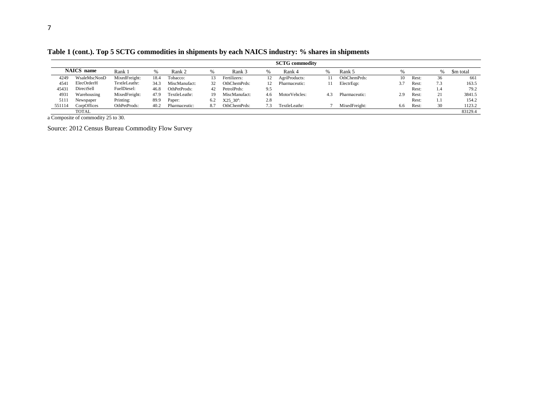**Table 1 (cont.). Top 5 SCTG commodities in shipments by each NAICS industry: % shares in shipments**

|        |                                                                             |               |      |               |     |                |     | <b>SCTG</b> commodity |     |               |     |       |     |           |
|--------|-----------------------------------------------------------------------------|---------------|------|---------------|-----|----------------|-----|-----------------------|-----|---------------|-----|-------|-----|-----------|
|        | <b>NAICS</b> name                                                           | Rank:         | $\%$ | Rank 2        |     | Rank 3         |     | Rank 4                |     | Rank 5        |     |       |     | \$m total |
| 4249   | WsaleMscNonD                                                                | MixedFreight: | 18.4 | Tobacco:      | 13  | Fertilizers:   | 12  | AgriProducts:         |     | OthChemPrds:  | 10  | Rest: | 36  | 661       |
| 4541   | ElecOrderH                                                                  | TextleLeathr: | 34.3 | MiscManufact: | 32  | OthChemPrds:   |     | Pharmaceutic:         |     | ElectrEqp:    | 3.7 | Rest: | 7.3 | 163.5     |
| 45431  | DirectSell                                                                  | FuelDiesel:   | 46.8 | OthPetProds:  | 42  | PetrolPrds:    | 9.5 |                       |     |               |     | Rest: | 1.4 | 79.2      |
| 4931   | Warehousing                                                                 | MixedFreight: | 47.9 | TextleLeathr: | 19. | MiscManufact:  | 46  | MotorVehcles:         | 4.3 | Pharmaceutic: | 2.9 | Rest: | 21  | 3841.5    |
| 5111   | Newspaper                                                                   | Printing:     | 89.9 | Paper:        | 6.2 | $X25 \ 30^a$ : | 2.8 |                       |     |               |     | Rest: | I.I | 154.2     |
| 551114 | OthPetProds:<br>CorpOffices<br>40.2<br>OthChemPrds:<br>Pharmaceutic:<br>8.7 |               |      |               |     |                |     | TextleLeathr:         |     | MixedFreight: | 6.6 | Rest: | 30  | 1123.2    |
|        | <b>TOTAL</b>                                                                |               |      |               |     |                |     |                       |     |               |     |       |     | 83129.4   |

a Composite of commodity 25 to 30.

Source: 2012 Census Bureau Commodity Flow Survey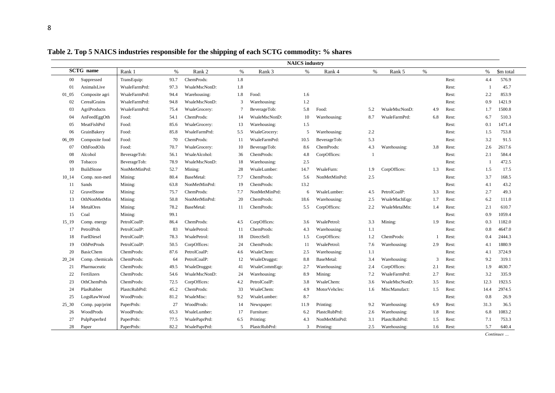|            |                     |               |      |               |                |               | <b>NAICS</b> industry |               |      |               |      |       |                |           |
|------------|---------------------|---------------|------|---------------|----------------|---------------|-----------------------|---------------|------|---------------|------|-------|----------------|-----------|
|            | <b>SCTG</b> name    | Rank 1        | $\%$ | Rank 2        | $\%$           | Rank 3        | $\%$                  | Rank 4        | $\%$ | Rank 5        | $\%$ |       | $\%$           | \$m total |
| $00\,$     | Suppressed          | TransEquip:   | 93.7 | ChemProds:    | 1.8            |               |                       |               |      |               |      | Rest: | 4.4            | 576.9     |
| 01         | AnimalsLive         | WsaleFarmPrd: | 97.3 | WsaleMscNonD: | 1.8            |               |                       |               |      |               |      | Rest: | - 1            | 45.7      |
| $01_{-05}$ | Composite agri      | WsaleFarmPrd: | 94.4 | Warehousing:  | 1.8            | Food:         | 1.6                   |               |      |               |      | Rest: | 2.2            | 853.9     |
| 02         | CerealGrains        | WsaleFarmPrd: | 94.8 | WsaleMscNonD: | 3              | Warehousing:  | 1.2                   |               |      |               |      | Rest: | 0.9            | 1421.9    |
| 03         | <b>AgriProducts</b> | WsaleFarmPrd: | 75.4 | WsaleGrocery: | $\overline{7}$ | BeverageTob:  | 5.8                   | Food:         | 5.2  | WsaleMscNonD: | 4.9  | Rest: | 1.7            | 1500.8    |
| 04         | AnFeedEggOth        | Food:         | 54.1 | ChemProds:    | 14             | WsaleMscNonD: | 10                    | Warehousing:  | 8.7  | WsaleFarmPrd: | 6.8  | Rest: | 6.7            | 510.3     |
| 05         | MeatFishPrd         | Food:         | 85.6 | WsaleGrocery: | 13             | Warehousing:  | 1.5                   |               |      |               |      | Rest: | 0.1            | 1471.4    |
| 06         | GrainBakery         | Food:         | 85.8 | WsaleFarmPrd: | 5.5            | WsaleGrocery: | 5                     | Warehousing:  | 2.2  |               |      | Rest: | 1.5            | 753.8     |
| 0609       | Composite food      | Food:         | 70   | ChemProds:    | -11            | WsaleFarmPrd: | 10.5                  | BeverageTob:  | 5.3  |               |      | Rest: | 3.2            | 91.5      |
| 07         | OthFoodOils         | Food:         | 70.7 | WsaleGrocery: | 10             | BeverageTob:  | 8.6                   | ChemProds:    | 4.3  | Warehousing:  | 3.8  | Rest: | 2.6            | 2617.6    |
| 08         | Alcohol             | BeverageTob:  | 56.1 | WsaleAlcohol: | 36             | ChemProds:    | 4.8                   | CorpOffices:  | -1   |               |      | Rest: | 2.1            | 584.4     |
| 09         | Tobacco             | BeverageTob:  | 78.9 | WsaleMscNonD: | 18             | Warehousing:  | 2.5                   |               |      |               |      | Rest: | $\overline{1}$ | 472.5     |
| 10         | BuildStone          | NonMetMinPrd: | 52.7 | Mining:       | 28             | WsaleLumber:  | 14.7                  | WsaleFurn:    | 1.9  | CorpOffices:  | 1.3  | Rest: | 1.5            | 17.5      |
| 10 14      | Comp. non-metl      | Mining:       | 80.4 | BaseMetal:    | 7.7            | ChemProds:    | 5.6                   | NonMetMinPrd: | 2.5  |               |      | Rest: | 3.7            | 168.5     |
| 11         | Sands               | Mining:       | 63.8 | NonMetMinPrd: | 19             | ChemProds:    | 13.2                  |               |      |               |      | Rest: | 4.1            | 43.2      |
| 12         | GravelStone         | Mining:       | 75.7 | ChemProds:    | 7.7            | NonMetMinPrd: | 6                     | WsaleLumber:  | 4.5  | PetrolCoalP:  | 3.3  | Rest: | 2.7            | 49.3      |
| 13         | OthNonMetMin        | Mining:       | 50.8 | NonMetMinPrd: | 20             | ChemProds:    | 18.6                  | Warehousing:  | 2.5  | WsaleMachEqp: | 1.7  | Rest: | 6.2            | 111.0     |
| 14         | MetalOres           | Mining:       | 78.2 | BaseMetal:    | 11             | ChemProds:    | 5.5                   | CorpOffices:  | 2.2  | WsaleMetalMn: | 1.4  | Rest: | 2.1            | 610.7     |
| 15         | Coal                | Mining:       | 99.1 |               |                |               |                       |               |      |               |      | Rest: | 0.9            | 1059.4    |
| 15 19      | Comp. energy        | PetrolCoalP:  | 86.4 | ChemProds:    | 4.5            | CorpOffices:  | 3.6                   | WsalePetrol:  | 3.3  | Mining:       | 1.9  | Rest: | 0.3            | 1182.0    |
| 17         | PetrolPrds          | PetrolCoalP:  | 83   | WsalePetrol:  | -11            | ChemProds:    | 4.3                   | Warehousing:  | 1.1  |               |      | Rest: | 0.8            | 4647.0    |
| 18         | FuelDiesel          | PetrolCoalP:  | 78.3 | WsalePetrol:  | 18             | DirectSell:   | 1.5                   | CorpOffices:  | 1.2  | ChemProds:    |      | Rest: | 0.4            | 2444.3    |
| 19         | OthPetProds         | PetrolCoalP:  | 50.5 | CorpOffices:  | 24             | ChemProds:    | 11                    | WsalePetrol:  | 7.6  | Warehousing:  | 2.9  | Rest: | 4.1            | 1880.9    |
| 20         | <b>BasicChem</b>    | ChemProds:    | 87.6 | PetrolCoalP:  | 4.6            | WsaleChem:    | 2.5                   | Warehousing:  | 1.1  |               |      | Rest: | 4.1            | 3724.9    |
| 20 24      | Comp. chemicals     | ChemProds:    | 64   | PetrolCoalP:  | 12             | WsaleDruggst: | 8.8                   | BaseMetal:    | 3.4  | Warehousing:  | 3    | Rest: | 9.2            | 319.1     |
| 21         | Pharmaceutic        | ChemProds:    | 49.5 | WsaleDruggst: | -41            | WsaleCommEqp: | 2.7                   | Warehousing:  | 2.4  | CorpOffices:  | 2.1  | Rest: | 1.9            | 4630.7    |
| 22         | Fertilizers         | ChemProds:    | 54.6 | WsaleMscNonD: | 24             | Warehousing:  | 8.9                   | Mining:       | 7.2  | WsaleFarmPrd: | 2.7  | Rest: | 3.2            | 335.9     |
| 23         | OthChemPrds         | ChemProds:    | 72.5 | CorpOffices:  | 4.2            | PetrolCoalP:  | 3.8                   | WsaleChem:    | 3.6  | WsaleMscNonD: | 3.5  | Rest: | 12.3           | 1923.5    |
| 24         | PlasRubber          | PlastcRubPrd: | 45.2 | ChemProds:    | 33             | WsaleChem:    | 4.9                   | MotorVehcles: | 1.6  | MiscManufact: | 1.5  | Rest: | 14.4           | 2974.5    |
| 25         | LogsRawWood         | WoodProds:    | 81.2 | WsaleMisc:    | 9.2            | WsaleLumber:  | 8.7                   |               |      |               |      | Rest: | 0.8            | 26.9      |
| $25 - 30$  | Comp. pap/print     | PaperPrds:    | 27   | WoodProds:    | 14             | Newspaper:    | 11.9                  | Printing:     | 9.2  | Warehousing:  | 6.9  | Rest: | 31.3           | 36.5      |
| 26         | WoodProds           | WoodProds:    | 65.3 | WsaleLumber:  | 17             | Furniture:    | 6.2                   | PlastcRubPrd: | 2.6  | Warehousing:  | 1.8  | Rest: | 6.8            | 1083.2    |
| 27         | PulpPaperbrd        | PaperPrds:    | 77.5 | WsalePaprPrd: | 6.5            | Printing:     | 4.3                   | NonMetMinPrd: | 3.1  | PlastcRubPrd: | 1.5  | Rest: | 7.1            | 753.3     |
| 28         | Paper               | PaperPrds:    | 82.2 | WsalePaprPrd: | 5              | PlastcRubPrd: | 3                     | Printing:     | 2.5  | Warehousing:  | 1.6  | Rest: | 5.7            | 640.4     |

**Table 2. Top 5 NAICS industries responsible for the shipping of each SCTG commodity: % shares**

*Continues …*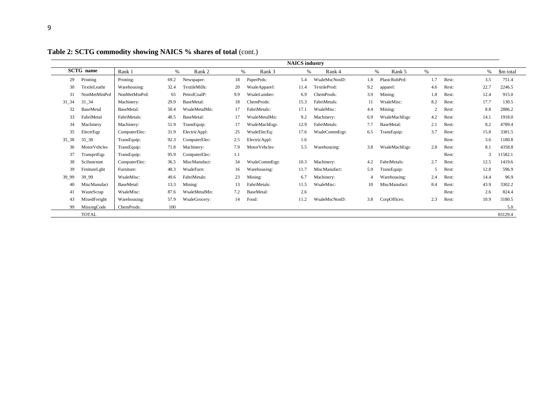| ۰<br>٠            |
|-------------------|
|                   |
|                   |
| ı                 |
| I<br>I<br>×<br>۰. |
|                   |
|                   |

| <b>NAICS</b> industry<br><b>SCTG</b> name<br>%<br>%<br>Rank 1<br>Rank 2<br>$\%$<br>Rank 3<br>$\%$<br>Rank 4<br>$\%$<br>$\%$<br>Rank 5<br>\$m total |                  |               |      |               |     |               |      |               |     |               |     |       |      |         |
|----------------------------------------------------------------------------------------------------------------------------------------------------|------------------|---------------|------|---------------|-----|---------------|------|---------------|-----|---------------|-----|-------|------|---------|
|                                                                                                                                                    |                  |               |      |               |     |               |      |               |     |               |     |       |      |         |
| 29                                                                                                                                                 | Printing         | Printing:     | 69.2 | Newspaper:    | 18  | PaperPrds:    | 5.4  | WsaleMscNonD: | 1.8 | PlastcRubPrd: | 1.7 | Rest: | 3.5  | 751.4   |
| 30                                                                                                                                                 | TextleLeathr     | Warehousing:  | 32.4 | TextileMills: | 20  | WsaleApparel: | 11.4 | TextileProd:  | 9.2 | apparel:      | 4.6 | Rest: | 22.7 | 2246.5  |
| 31                                                                                                                                                 | NonMetMinPrd     | NonMetMinPrd: | 65   | PetrolCoalP:  | 9.9 | WsaleLumber:  | 6.9  | ChemProds:    | 3.9 | Mining:       | 1.8 | Rest: | 12.4 | 915.0   |
| $31\_34$                                                                                                                                           | $31 - 34$        | Machinery:    | 29.9 | BaseMetal:    | 18  | ChemProds:    | 15.3 | FabriMetals:  | 11  | WsaleMisc:    | 8.2 | Rest: | 17.7 | 130.5   |
| 32                                                                                                                                                 | <b>BaseMetal</b> | BaseMetal:    | 50.4 | WsaleMetalMn: |     | FabriMetals:  | 17.1 | WsaleMisc:    | 4.4 | Mining:       |     | Rest: | 8.8  | 2886.2  |
| 33                                                                                                                                                 | FabriMetal       | FabriMetals:  | 48.5 | BaseMetal:    |     | WsaleMetalMn: | 9.2  | Machinery:    | 6.9 | WsaleMachEqp: | 4.2 | Rest: | 14.1 | 1918.0  |
| 34                                                                                                                                                 | Machinery        | Machinery:    | 51.9 | TransEquip:   |     | WsaleMachEqp: | 12.9 | FabriMetals:  | 7.7 | BaseMetal:    | 2.1 | Rest: | 8.2  | 4789.4  |
| 35                                                                                                                                                 | ElectrEqp        | ComputerElec: | 31.9 | ElectricAppl: | 25  | WsaleElecEq:  | 17.6 | WsaleCommEqp: | 6.5 | TransEquip:   | 3.7 | Rest: | 15.8 | 3381.5  |
| $35 - 38$                                                                                                                                          | $35 - 38$        | TransEquip:   | 92.3 | ComputerElec: | 2.5 | ElectricAppl: | 1.6  |               |     |               |     | Rest: | 3.6  | 1180.8  |
| 36                                                                                                                                                 | MotorVehcles     | TransEquip:   | 71.8 | Machinery:    | 7.9 | MotorVehcles: | 5.5  | Warehousing:  | 3.8 | WsaleMachEqp: | 2.8 | Rest: | 8.1  | 4358.8  |
| 37                                                                                                                                                 | TransprtEqp      | TransEquip:   | 95.9 | ComputerElec: | 1.1 |               |      |               |     |               |     | Rest: | 3    | 11582.1 |
| 38                                                                                                                                                 | SciInstrmnt      | ComputerElec: | 36.5 | MiscManufact: | 34  | WsaleCommEqp: | 10.3 | Machinery:    | 4.2 | FabriMetals:  | 2.7 | Rest: | 12.5 | 1419.6  |
| 39                                                                                                                                                 | FrnitureLght     | Furniture:    | 48.3 | WsaleFurn:    | 16  | Warehousing:  | 11.7 | MiscManufact: | 5.9 | TransEquip:   |     | Rest: | 12.8 | 596.9   |
| 39_99                                                                                                                                              | 39_99            | WsaleMisc:    | 49.6 | FabriMetals:  | 23  | Mining:       | 6.7  | Machinery:    |     | Warehousing:  | 2.4 | Rest: | 14.4 | 96.9    |
| 40                                                                                                                                                 | MiscManufact     | BaseMetal:    | 13.3 | Mining:       | 13  | FabriMetals:  | 11.5 | WsaleMisc:    | 10  | MiscManufact: | 8.4 | Rest: | 43.9 | 3302.2  |
| 41                                                                                                                                                 | WasteScrap       | WsaleMisc:    | 87.6 | WsaleMetalMn: | 7.2 | BaseMetal:    | 2.6  |               |     |               |     | Rest: | 2.6  | 824.4   |
| 43                                                                                                                                                 | MixedFreight     | Warehousing:  | 57.9 | WsaleGrocery: | 14  | Food:         | 11.2 | WsaleMscNonD: | 3.8 | CorpOffices:  | 2.3 | Rest: | 10.9 | 3180.5  |
| 99                                                                                                                                                 | MissingCode      | ChemProds:    | 100  |               |     |               |      |               |     |               |     |       |      | 5.0     |
|                                                                                                                                                    | <b>TOTAL</b>     |               |      |               |     |               |      |               |     |               |     |       |      | 83129.4 |

**Table 2: SCTG commodity showing NAICS % shares of total** (cont.)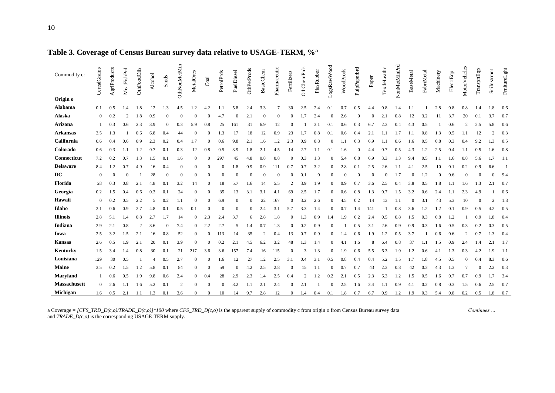| Commodity c:<br>Origin o | CerealGrains | AgriProducts | MeatFishPrd | OthFoodOils    | Alcohol | Sands    | OthNonMetMin   | MetalOres      | Coal         | PetrolPrds | FuelDiesel | OthPetProds | <b>BasicChem</b> | Pharmaceutic | Fertilizers    | OthChemPrds    | PlasRubber | LogsRawWood  | WoodProds | PulpPaperbrd | Paper | TextleLeathr | NonMetMinPrd | BaseMetal | FabriMetal | Machinery | ElectrEqp | MotorVehcles   | TransprtEqp | SciInstrmnt    | FrnitureLght |
|--------------------------|--------------|--------------|-------------|----------------|---------|----------|----------------|----------------|--------------|------------|------------|-------------|------------------|--------------|----------------|----------------|------------|--------------|-----------|--------------|-------|--------------|--------------|-----------|------------|-----------|-----------|----------------|-------------|----------------|--------------|
| Alabama                  | 0.1          | 0.5          | 1.4         | 1.8            | 12      | 1.3      | 4.5            | 1.2            | 4.2          | 1.1        | 5.8        | 2.4         | 3.3              | 7            | 30             | 2.5            | 2.4        | 0.1          | 0.7       | 0.5          | 4.4   | 0.8          | 1.4          | 1.1       |            | 2.8       | 0.8       | 0.8            | 1.4         | 1.8            | 0.6          |
| Alaska                   | $\mathbf{0}$ | 0.2          |             | 1.8            | 0.9     |          | $\theta$       |                | $\theta$     | 4.7        | $\theta$   | 2.1         | $\theta$         |              | 0              | 1.7            | 2.4        | 0            | 2.6       |              |       | 2.1          | 0.8          | 12        | 3.2        | 11        | 3.7       | 20             | 0.1         | 3.7            | 0.7          |
| <b>Arizona</b>           |              | 0.3          | 0.6         | 2.3            | 3.9     | $\Omega$ | 0.3            | 5.9            | 0.8          | 25         | 161        | 31          | 6.9              | 12           | $\Omega$       |                | 3.1        | 0.1          | 0.6       | 0.3          | 6.7   | 2.3          | 0.4          | 4.3       | 0.5        |           | 0.6       | $\overline{2}$ | 2.5         | 5.8            | 0.6          |
| <b>Arkansas</b>          | 3.5          | 1.3          |             | 0.6            | 6.8     | 0.4      | 44             |                | $\Omega$     | 1.3        |            | 18          | 12               | 0.9          | 23             |                | 0.8        | 0.1          | 0.6       | 0.4          | 2.1   | 1.1          | 1.7          | 1.1       | 0.8        | 1.3       | 0.5       | 1.1            | 12          | $\mathcal{D}$  | 0.3          |
| California               | 0.6          | 0.4          | 0.6         | 0.9            | 2.3     | 0.2      | 0.4            | 1.7            | $\Omega$     | 0.6        | 9.8        | 2.1         | 1.6              | 1.2          | 2.3            | 0.9            | 0.8        | $\mathbf{0}$ | 1.1       | 0.3          | 6.9   | 1.1          | 0.6          | 1.6       | 0.5        | 0.8       | 0.3       | 0.4            | 9.2         | 1.3            | 0.5          |
| Colorado                 | 0.6          | 0.3          | 1.1         | 1.2            | 0.7     | 0.1      | 0.3            | 12             | 0.8          | 0.5        | 3.9        | 1.8         | 2.1              | 4.5          | 14             | 2.7            | 1.1        | 0.1          | 1.6       |              | 4.4   | 0.7          | 0.5          | 4.3       | 1.2        | 2.5       | 0.4       | 1.1            | 0.5         | 1.6            | 0.8          |
| Connecticut              | 7.2          | 0.2          | 0.7         | 1.3            | 1.5     | 0.1      | 1.6            | $\Omega$       |              | 297        | 45         | 4.8         | 0.8              | 0.8          | 0              | 0.3            | 1.3        | 0            | 5.4       | $_{0.8}$     | 6.9   | 3.3          | 1.3          | 9.4       | 0.5        |           | 1.6       | 0.8            | 5.6         | 1.7            | 1.1          |
| <b>Delaware</b>          | 8.4          | 1.2          | 0.7         | 4.9            | 16      | 0.4      | $\theta$       | $\Omega$       | $\Omega$     |            | 1.8        | 0.9         | 0.9              |              | 0.7            | 0.7            | 3.2        | $\mathbf{0}$ | 2.8       | 0.1          | 2.5   | 2.6          | 1.1          | 4.1       | 2.5        | 10        | 0.1       | 0.2            | 0.9         | 6.6            | - 1          |
| <b>DC</b>                | $\Omega$     | $\theta$     |             |                | 28      |          | $\Omega$       | $\Omega$       | $\Omega$     |            | $\Omega$   | $\Omega$    | $\Omega$         |              | $\Omega$       | 0.1            | $\Omega$   | $\Omega$     | $\Omega$  |              |       | $\Omega$     | 1.7          | $\Omega$  | 1.2        | $\Omega$  | 0.6       | 0              | $\theta$    | $\Omega$       | 9.4          |
| Florida                  | 28           | 0.3          | 0.8         | 2.1            | 4.8     | 0.1      | 3.2            | 14             | $\Omega$     | 18         | 5.7        | 1.6         | 14               | 5.5          | $\overline{c}$ | 3.9            | 1.9        | 0            | 0.9       | 0.7          | 3.6   | 2.5          | 0.4          | 3.8       | 0.5        | 1.8       | 1.1       | 1.6            | 1.3         | 2.1            | 0.7          |
| Georgia                  | 0.2          | 1.5          | 0.4         | 0.6            | 0.3     | 0.1      | 24             | $\theta$       | $\Omega$     | 35         | 13         | 3.1         | 3.1              | 4.1          | 69             | 2.5            | 1.7        | 0            | 0.6       | $_{0.8}$     | 1.3   | 0.7          | 1.5          | 3.2       | 0.6        | 2.4       | 1.1       | 2.3            | 4.9         |                | 0.6          |
| Hawaii                   | $\mathbf{0}$ | 0.2          | 0.5         | 2.2            | $\sim$  | 0.2      | 1.1            | $\Omega$       | $\Omega$     | 6.9        | $\Omega$   | $\Omega$    | 22               | 167          | $\mathbf{0}$   | 3.2            | 2.6        | $\mathbf{0}$ | 4.5       | 0.2          | 14    | 13           | 1.1          | $\Omega$  | 3.1        | 43        | 5.3       | 10             | $\Omega$    | $\overline{2}$ | 1.8          |
| Idaho                    | 2.1          | 0.6          | 0.9         | 2.7            | 4.8     | 0.1      | 0.5            | 0.1            | $\Omega$     |            | $\Omega$   | $\Omega$    | 2.4              | 3.1          | 5.7            | 3.3            | 1.4        | $\theta$     | 0.7       | 1.4          | 141   |              | 0.8          | 3.6       | 1.2        | 1.2       | 0.1       | $_{0.9}$       | 0.5         | 4.2            | 0.5          |
| <b>Illinois</b>          | 2.8          | 5.1          | 1.4         | 0.8            | 2.7     | 1.7      | 14             | $\theta$       | 2.3          | 2.4        | 3.7        | 6           | 2.8              | 1.8          | $\Omega$       | 1.3            | 0.9        | 1.4          | l.9       | 0.2          | 2.4   | 0.5          | 0.8          | 1.5       | 0.3        | 0.8       | 1.2       |                | 0.9         | 1.8            | 0.4          |
| Indiana                  | 2.9          | 2.1          | 0.8         | $\overline{c}$ | 3.6     |          | 7.4            | $\theta$       | 2.2          | 2.7        | $\sim$     | l.4         | 0.7              | 1.3          | $\mathbf{0}$   | 0.2            | 0.9        | 0            |           | 0.5          | 3.1   | 2.6          | 0.9          | 0.9       | 0.3        | 1.6       | 0.5       | 0.3            | 0.2         | 0.3            | 0.5          |
| Iowa                     | 2.5          | 3.2          | 1.5         | 2.1            | 16      | 0.8      | 52             | $\theta$       | $\Omega$     | 113        | 14         | 35          | $\mathcal{P}$    | 0.4          | 13             | 0.7            | 0.9        | $\theta$     |           | 0.6          | 1.9   | 1.2          | 0.5          | 3.7       |            | 0.6       | 0.6       | $\mathcal{D}$  | 0.7         | 1.3            | 0.4          |
| <b>Kansas</b>            | 2.6          | 0.5          | 1.9         | 2.1            | 20      | 0.1      | 3.9            | $\theta$       |              | 0.2        | 2.1        | 4.5         | 6.2              | 3.2          | 48             | 1.3            | 1.4        | 0            | 4.1       | 1.6          | 8     | 6.4          | 0.8          | 37        | 1.1        | 1.5       | 0.9       | 2.4            | 1.4         | 2.1            | 1.7          |
| Kentucky                 | 1.5          | 3.4          | 1.4         | 0.8            | 30      | 0.1      | 21             | 217            | 3.6          | 3.6        | 157        | 7.4         | 16               | 115          | $\mathbf{0}$   | 3              | 1.3        | $\mathbf{0}$ | 1.9       | 0.6          | 5.5   | 6.3          | 1.9          | 1.2       | 0.6        | 4.1       | 1.3       | 0.3            | 4.2         | 1.9            | 1.1          |
| Louisiana                | 129          | 30           | 0.5         |                |         | 0.5      | 2.7            | $\theta$       | $\Omega$     | 1.6        | 12         | 27          | 1.2              | 2.5          | 3.1            | 0.4            | 3.1        | 0.5          | 0.8       | 0.4          | 0.4   | 5.2          | 1.5          | 1.7       | 1.8        | 4.5       | 0.5       | $\Omega$       | 0.4         | 8.3            | 0.6          |
| <b>Maine</b>             | 3.5          | 0.2          | 1.5         | 1.2            | 5.8     | 0.1      | 84             | $\theta$       | $\Omega$     | 59         | $\theta$   | 4.2         | 2.5              | 2.8          | $\Omega$       | 15             | 1.1        | $\theta$     | 0.7       | 0.7          | 43    | 2.3          | 0.8          | 42        | 0.3        | 4.3       | 1.3       |                | $\theta$    | 2.2            | 0.3          |
| <b>Maryland</b>          |              | 0.6          | 0.5         | 1.9            | 9.8     | 0.6      | 2.4            | $\overline{0}$ | 0.4          | 28         | 2.9        | 2.3         | 1.4              | 2.5          | 0.4            | $\overline{c}$ | 1.2        | 0.2          | 2.1       | 0.5          | 2.3   | 6.3          | 1.2          | 1.5       | 0.5        | 1.6       | 0.7       | 0.7            | 0.9         | 1.7            | 3.4          |
| Massachusett             | $\mathbf{0}$ | 2.6          | 1.1         | 1.6            | 5.2     | 0.1      | $\overline{2}$ | $\theta$       | $\mathbf{0}$ | $\Omega$   | 8.2        | 1.1         | 2.1              | 2.4          | 0              | 2.1            |            | $\theta$     | 2.5       | 1.6          | 3.4   | 1.1          | 0.9          | 4.1       | 0.2        | 0.8       | 0.3       | 1.5            | 0.6         | 2.5            | 0.7          |
| Michigan                 | 1.6          | 0.5          | 2.1         | 1.1            | 1.3     | 0.1      | 3.6            | $\theta$       | $\theta$     | 10         | 14         | 9.7         | 2.8              | 12           | $\overline{0}$ | 1.4            | 0.4        | 0.1          | 1.8       | 0.7          | 6.7   | 0.9          | 1.2          | 1.9       | 0.3        | 5.4       | 0.8       | 0.2            | 0.5         | 1.8            | 0.7          |

**Table 3. Coverage of Census Bureau survey data relative to USAGE-TERM, %<sup>a</sup>**

a Coverage = *[CFS\_TRD\_D(c,o)/TRADE\_D(c,o)]\*100* where *CFS\_TRD\_D(c,o)* is the apparent supply of commodity c from origin o from Census Bureau survey data *Continues …* and  $TRADE\_D(c,o)$  is the corresponding USAGE-TERM supply.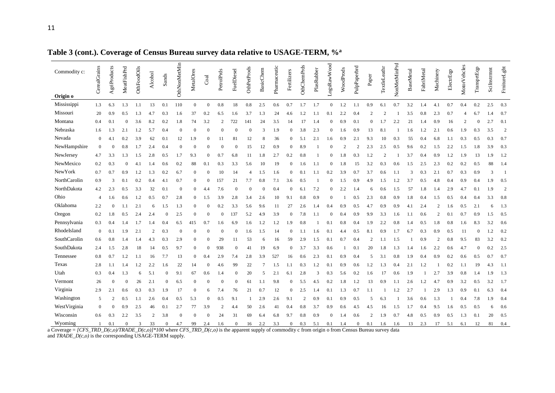| Commodity c: | CerealGrains     | AgriProducts   | MeatFishPrd  | OthFoodOils | Alcohol        | Sands          | OthNonMetMin   | MetalOres      | Coal         | PetrolPrds | FuelDiesel     | OthPetProds | <b>BasicChem</b> | Pharmaceutic | Fertilizers    | OthChemPrds    | PlasRubber | LogsRawWood | WoodProds               | PulpPaperbrd   | Paper          | TextleLeathr   | NonMetMinPrd | <b>BaseMetal</b> | FabriMetal | Machinery      | ElectrEqp | MotorVehcles | TransprtEqp  | SciInstrmnt | FrnitureLght   |
|--------------|------------------|----------------|--------------|-------------|----------------|----------------|----------------|----------------|--------------|------------|----------------|-------------|------------------|--------------|----------------|----------------|------------|-------------|-------------------------|----------------|----------------|----------------|--------------|------------------|------------|----------------|-----------|--------------|--------------|-------------|----------------|
| Origin o     |                  |                |              |             |                |                |                |                |              |            |                |             |                  |              |                |                |            |             |                         |                |                |                |              |                  |            |                |           |              |              |             |                |
| Mississippi  | 1.3              | 6.3            | 1.3          | 1.1         | 13             | 0.1            | 110            | $\mathbf{0}$   | $\theta$     | 0.8        | 18             | 0.8         | 2.5              | 0.6          | 0.7            | 1.7            | 1.7        | $\theta$    | 1.2                     | 1.1            | 0.9            | 6.1            | 0.7          | 3.2              | 1.4        | 4.1            | 0.7       | 0.4          | 0.2          | 2.5         | 0.3            |
| Missouri     | 20               | 0.9            | 0.5          | 1.3         | 4.7            | 0.3            | 1.6            | 37             | 0.2          | 6.5        | 1.6            | 3.7         | 1.3              | 24           | 4.6            | 1.2            | 1.1        | 0.1         | 2.2                     | 0.4            | $\overline{c}$ |                |              | 3.5              | 0.8        | 2.3            | 0.7       |              | 6.7          | 1.4         | 0.7            |
| Montana      | 0.4              | 0.1            | $\mathbf{0}$ | 3.6         | 8.2            | 0.2            | 1.8            | 74             | 3.2          |            | 722            | 141         | 24               | 3.5          | 14             | 17             | 1.4        | $\Omega$    | 0.9                     | 0.1            | $\Omega$       | 1.7            | 2.2          | 21               | 1.4        | 0.9            | 16        |              | $\mathbf{0}$ | 2.7         | 0.1            |
| Nebraska     | 1.6              | 1.3            | 2.1          | 1.2         | 5.7            | 0.4            | $\Omega$       | $\overline{0}$ | $\Omega$     |            |                | $\Omega$    | 3                | 1.9          | $\Omega$       | 3.8            | 2.3        | $\Omega$    | 1.6                     | 0.9            | 13             | 8.1            |              | 1.6              | 1.2        | 2.1            | 0.6       | 1.9          | 0.3          | 3.5         | $\overline{2}$ |
| Nevada       | $\boldsymbol{0}$ | 4.1            | 0.2          | 3.9         | 62             | 0.1            | 12             | 1.9            | $\Omega$     | 11         | 81             | 12          |                  | 36           | $\Omega$       | 5.1            | 2.1        | 1.6         | 0.9                     | 2.1            | 9.3            | 10             | 0.3          | 55               | 0.4        | 6.8            | 1.1       | 0.3          | 0.5          | 0.3         | 0.7            |
| NewHampshire | $\overline{0}$   | $\overline{0}$ | 0.8          | 1.7         | 2.4            | 0.4            | $\overline{0}$ | $\Omega$       | $\Omega$     |            | $\Omega$       | 15          | 12               | 0.9          | $\Omega$       | 8.9            |            | $\Omega$    | $\overline{\mathbf{c}}$ | $\overline{2}$ | 2.3            | 2.5            | 0.5          | 9.6              | 0.2        | 1.5            | 2.2       | 1.5          | 1.8          | 3.9         | 0.3            |
| NewJersey    | 4.7              | 3.3            | 1.3          | 1.5         | 2.8            | 0.5            | 1.7            | 9.3            | $\Omega$     | 0.7        | 6.8            | 11          | 1.8              | 2.7          | 0.2            | 0.8            |            | $\Omega$    | 1.8                     | 0.3            | 1.2            | $\overline{c}$ |              | 3.7              | 0.4        | 0.9            | 1.2       | 1.9          | 13           | 1.9         | 1.2            |
| NewMexico    | 0.2              | 0.3            | $\Omega$     | 4.1         | 1.4            | 0.6            | 0.2            | 88             | 0.1          | 0.3        | 3.3            | 5.6         | 10               | 19           | $\Omega$       | 1.6            | 1.1        | $\Omega$    | 1.8                     | 15             | 3.2            | 0.3            | 0.6          | 1.5              | 2.5        | 2.3            | 0.2       | 0.2          | 0.5          | 88          | 1.4            |
| NewYork      | 0.7              | 0.7            | 0.9          | 1.2         | 1.3            | 0.2            | 6.7            | $\theta$       | $\mathbf{0}$ | 10         | 14             | 4           | 1.5              | 1.6          | $\Omega$       | 0.1            | 1.1        | 0.2         | 3.9                     | 0.7            | 3.7            | 0.6            | 1.1          | 3                | 0.3        | 2.1            | 0.7       | 0.3          | 0.9          | 3           | -1             |
| NorthCarolin | 0.9              | 3              | 0.1          | 0.2         | 0.4            | 4.1            | 0.7            | $\Omega$       | $\Omega$     | 157        | 21             | 7.7         | 0.8              | 7.1          | 3.6            | 0.5            |            | $\Omega$    | 1.5                     | 0.9            | 4.9            | 1.5            | 1.2          | 3.7              | 0.5        | 4.8            | 0.4       | 0.9          | 0.4          | 1.9         | 0.5            |
| NorthDakota  | 4.2              | 2.3            | 0.5          | 3.3         | 32             | 0.1            | $\theta$       | $\Omega$       | 4.4          | 7.6        | $\Omega$       | $\Omega$    | $\Omega$         | 0.4          | $\Omega$       | 6.1            | 7.2        | $\Omega$    | 2.2                     | 1.4            | 6              | 0.6            | 1.5          | 57               | 1.8        | 1.4            | 2.9       | 4.7          | 0.1          | 1.9         | $\overline{2}$ |
| Ohio         | $\overline{4}$   | 1.6            | 0.6          | 1.2         | 0.5            | 0.7            | 2.8            | $\theta$       | 1.5          | 3.9        | 2.8            | 3.4         | 2.6              | 10           | 9.1            | 0.8            | 0.9        | $\Omega$    |                         | 0.5            | 2.3            | 0.8            | 0.9          | 1.8              | 0.4        | 1.5            | 0.5       | 0.4          | 0.4          | 3.3         | 0.8            |
| Oklahoma     | 2.2              | $\theta$       | 1.1          | 2.1         | 6              | 1.5            | 1.3            | $\theta$       | $\Omega$     | 0.2        | 3.3            | 5.6         | 9.6              | 11           | 27             | 2.6            | 1.4        | 0.4         | 0.9                     | 0.5            | 4.7            | 0.9            | 0.9          | 4.1              | 2.4        | $\overline{c}$ | 1.6       | 0.5          | 2.1          | -6          | 1.3            |
| Oregon       | 0.2              | 1.8            | 0.5          | 2.4         | 2.4            | $\Omega$       | 2.5            | $\Omega$       | $\Omega$     |            | 137            | 5.2         | 4.9              | 3.9          | $\Omega$       | 7.8            | 1.1        | $\Omega$    | 0.4                     | 0.9            | 9.9            | 3.3            | 1.6          | 1.1              | 0.6        | $\overline{c}$ | 0.1       | 0.7          | 0.9          | 1.5         | 0.5            |
| Pennsylvania | 0.3              | 0.4            | 1.4          | 1.7         |                | 0.4            | 6.5            | 415            | 0.7          | 1.6        | 6.9            | 1.6         | 1.2              | 1.2          | 1.9            | 0.8            |            | 0.1         | 0.8                     | 0.4            | 1.9            | 2.2            | 0.8          | 1.4              | 0.5        | 1.8            | 0.8       | 1.6          | 8.3          | 3.2         | 0.6            |
| RhodeIsland  | $\overline{0}$   | 0.1            | 1.9          | 2.1         | $\mathcal{D}$  | 0.3            | $\Omega$       | $\Omega$       | $\Omega$     |            | $\Omega$       | 1.6         | 1.5              | 14           | $\Omega$       |                | 1.6        | 0.1         | 4.4                     | 0.5            | 8.1            | 0.9            | 1.7          | 6.7              | 0.3        | 0.9            | 0.5       | 11           | $\mathbf{0}$ | $\cdot$     | 0.2            |
| SouthCarolin | 0.6              | 0.8            | 1.4          | 1.4         | 4.3            | 0.3            | 2.9            | $\Omega$       | $\Omega$     | 29         | 11             | 53          | 6                | 16           | 59             | 2.9            | 1.5        | 0.1         | 0.7                     | 0.4            | $\overline{c}$ | 1.1            | 1.5          |                  | 0.9        | $\overline{c}$ | 0.8       | 9.5          | 83           | 3.2         | 0.2            |
| SouthDakota  | 2.4              | 1.5            | 2.8          | 18          | 14             | 0.5            | 9.7            | $\theta$       | $\theta$     | 938        | $\Omega$       | 41          | 19               | 6.9          | $\Omega$       | 3.7            | 3.3        | 0.6         |                         | 0.1            | 20             | 1.8            | 1.3          | 1.4              | 1.6        | 2.2            | 0.6       | 4.7          | $\theta$     | 0.2         | 2.5            |
| Tennessee    | 0.8              | 0.7            | 1.2          | 1.1         | 16             | 7.7            | 13             | $\theta$       | 0.4          | 2.9        | 7.4            | 2.8         | 3.9              | 527          | 16             | 0.6            | 2.3        | 0.1         | 0.9                     | 0.4            | .5             | 3.1            | 0.8          | 1.9              |            | 0.9            | 0.2       | 0.6          | 0.5          | 0.7         | 0.7            |
| Texas        | 2.8              | 1.1            | 1.4          | 1.2         | 2.2            | 1.6            | 22             | 14             | $\Omega$     | 4.6        | 99             | 22          |                  | 1.5          | 1.1            | 0.3            | 1.2        | 0.1         | 0.9                     | 0.6            | 1.2            | 1.3            | 0.4          | 2.1              | 1.2        |                | 0.2       | 1.1          | 19           | 4.3         | 1.1            |
| Utah         | 0.3              | 0.4            | 1.3          | 6           | 5.1            |                | 9.1            | 67             | 0.6          | 1.4        | $\overline{0}$ | 20          | 5                | 2.1          | 6.1            | 2.8            | 3          | 0.3         | 5.6                     | 0.2            | 1.6            | 17             | 0.6          | 1.9              |            | 2.7            | 3.9       | 0.8          | 1.4          | 1.9         | 1.3            |
| Vermont      | 26               | $\Omega$       |              | 26          | 2.1            | $\Omega$       | 6.5            | $\theta$       | $\Omega$     |            | $\Omega$       | 61          | 1.1              | 9.8          | $\mathbf{0}$   | 5.5            | 4.5        | 0.2         | 1.8                     | 1.2            | 13             | 0.9            | 1.1          | 2.6              | 1.2        | 4.7            | 0.9       | 3.2          | 0.5          | 3.2         | 1.7            |
| Virginia     | 2.9              | 2.1            | 0.6          | 0.3         | 0.3            | 1.9            | 17             | $\Omega$       | 6            | 7.4        | 76             | 21          | 0.7              | 12           | $\Omega$       | 2.5            | 1.4        | 0.1         | 1.3                     | 0.7            | 1.1            |                | 1.2          | 2.7              |            | 2.9            | 1.3       | 0.9          | 0.1          | 6.3         | 0.4            |
| Washington   | 5                | $\overline{2}$ | 0.5          | 1.1         | 2.6            | 0.4            | 0.5            | 5.3            | $\Omega$     | 0.5        | 9.1            |             | 2.9              | 2.6          | 9.1            | $\overline{c}$ | 0.9        | 0.1         | 0.9                     | 0.5            | .5             | 6.3            |              | 3.6              | 0.6        | 1.3            |           | 0.4          | 7.8          | 1.9         | 0.4            |
| WestVirginia | $\Omega$         | $\theta$       | 0.9          | 2.5         | 46             | 0.1            | 2.7            | 77             | 3.9          |            | 4.4            | 50          | 2.6              | 41           | 0.4            | 0.8            | 3.7        | 0.9         | 0.6                     | 4.5            | 4.5            | 16             | 1.5          | 1.7              | 0.4        | 9.5            | 1.6       | 0.5          | 0.5          | 6           | 0.6            |
| Wisconsin    | 0.6              | 0.3            | 2.2          | 3.5         | $\overline{c}$ | 3.8            | $\Omega$       | $\theta$       | $\Omega$     | 24         | 31             | 69          | 6.4              | 6.8          | 9.7            | 0.8            | 0.9        | $\Omega$    | 1.4                     | 0.6            | $\overline{c}$ | 1.9            | 0.7          | 4.8              | 0.5        | 0.9            | 0.5       | 1.3          | 0.1          | 20          | 0.5            |
| Wyoming      |                  | 0.1            | $\mathbf{0}$ | 3           | 33             | $\overline{0}$ | 4.7            | 99             | 2.4          | 1.6        | $\mathbf{0}$   | 16          | 2.2              | 3.3          | $\overline{0}$ | 0.3            | 5.1        | 0.1         | 1.4                     | $\overline{0}$ | 0.1            | 1.6            | 1.6          | 13               | 2.3        | 17             | 5.1       | 6.1          | 12           | 81          | 0.4            |

**Table 3 (cont.). Coverage of Census Bureau survey data relative to USAGE-TERM, %<sup>a</sup>**

a Coverage = *[CFS\_TRD\_D(c,o)/TRADE\_D(c,o)]\*100* where *CFS\_TRD\_D(c,o)* is the apparent supply of commodity c from origin o from Census Bureau survey data and *TRADE\_D(c,o)* is the corresponding USAGE-TERM supply.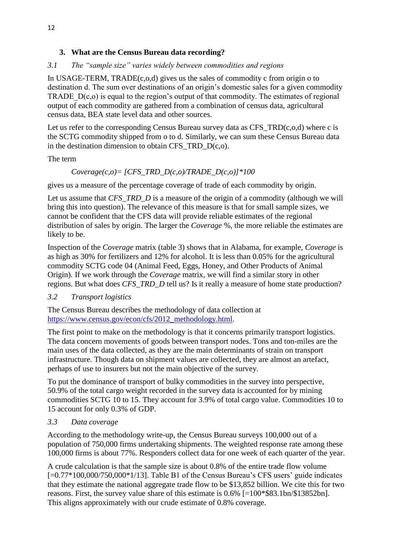## **3. What are the Census Bureau data recording?**

# *3.1 The "sample size" varies widely between commodities and regions*

In USAGE-TERM, TRADE(c,o,d) gives us the sales of commodity c from origin o to destination d. The sum over destinations of an origin's domestic sales for a given commodity TRADE  $D(c, o)$  is equal to the region's output of that commodity. The estimates of regional output of each commodity are gathered from a combination of census data, agricultural census data, BEA state level data and other sources.

Let us refer to the corresponding Census Bureau survey data as CFS  $TRD(c, o, d)$  where c is the SCTG commodity shipped from o to d. Similarly, we can sum these Census Bureau data in the destination dimension to obtain CFS TRD  $D(c, o)$ .

#### The term

# $Coverage(c,o) = [CFS TRD D(c,o)/TRADE D(c,o)]*100$

gives us a measure of the percentage coverage of trade of each commodity by origin.

Let us assume that *CFS\_TRD\_D* is a measure of the origin of a commodity (although we will bring this into question). The relevance of this measure is that for small sample sizes, we cannot be confident that the CFS data will provide reliable estimates of the regional distribution of sales by origin. The larger the *Coverage* %, the more reliable the estimates are likely to be.

Inspection of the *Coverage* matrix (table 3) shows that in Alabama, for example, *Coverage* is as high as 30% for fertilizers and 12% for alcohol. It is less than 0.05% for the agricultural commodity SCTG code 04 (Animal Feed, Eggs, Honey, and Other Products of Animal Origin). If we work through the *Coverage* matrix, we will find a similar story in other regions. But what does *CFS\_TRD\_D* tell us? Is it really a measure of home state production?

#### *3.2 Transport logistics*

The Census Bureau describes the methodology of data collection at [https://www.census.gov/econ/cfs/2012\\_methodology.html.](https://www.census.gov/econ/cfs/2012_methodology.html)

The first point to make on the methodology is that it concerns primarily transport logistics. The data concern movements of goods between transport nodes. Tons and ton-miles are the main uses of the data collected, as they are the main determinants of strain on transport infrastructure. Though data on shipment values are collected, they are almost an artefact, perhaps of use to insurers but not the main objective of the survey.

To put the dominance of transport of bulky commodities in the survey into perspective, 50.9% of the total cargo weight recorded in the survey data is accounted for by mining commodities SCTG 10 to 15. They account for 3.9% of total cargo value. Commodities 10 to 15 account for only 0.3% of GDP.

#### *3.3 Data coverage*

According to the methodology write-up, the Census Bureau surveys 100,000 out of a population of 750,000 firms undertaking shipments. The weighted response rate among these 100,000 firms is about 77%. Responders collect data for one week of each quarter of the year.

A crude calculation is that the sample size is about 0.8% of the entire trade flow volume  $[-0.77*100,000/750,000*1/13]$ . Table B1 of the Census Bureau's CFS users' guide indicates that they estimate the national aggregate trade flow to be \$13,852 billion. We cite this for two reasons. First, the survey value share of this estimate is 0.6% [=100\*\$83.1bn/\$13852bn]. This aligns approximately with our crude estimate of 0.8% coverage.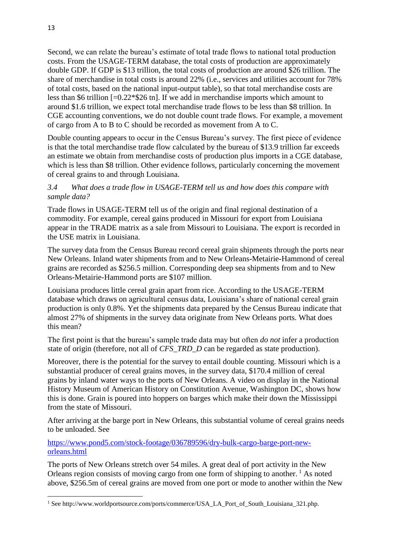Second, we can relate the bureau's estimate of total trade flows to national total production costs. From the USAGE-TERM database, the total costs of production are approximately double GDP. If GDP is \$13 trillion, the total costs of production are around \$26 trillion. The share of merchandise in total costs is around 22% (i.e., services and utilities account for 78% of total costs, based on the national input-output table), so that total merchandise costs are less than \$6 trillion [=0.22\*\$26 tn]. If we add in merchandise imports which amount to around \$1.6 trillion, we expect total merchandise trade flows to be less than \$8 trillion. In CGE accounting conventions, we do not double count trade flows. For example, a movement of cargo from A to B to C should be recorded as movement from A to C.

Double counting appears to occur in the Census Bureau's survey. The first piece of evidence is that the total merchandise trade flow calculated by the bureau of \$13.9 trillion far exceeds an estimate we obtain from merchandise costs of production plus imports in a CGE database, which is less than \$8 trillion. Other evidence follows, particularly concerning the movement of cereal grains to and through Louisiana.

#### *3.4 What does a trade flow in USAGE-TERM tell us and how does this compare with sample data?*

Trade flows in USAGE-TERM tell us of the origin and final regional destination of a commodity. For example, cereal gains produced in Missouri for export from Louisiana appear in the TRADE matrix as a sale from Missouri to Louisiana. The export is recorded in the USE matrix in Louisiana.

The survey data from the Census Bureau record cereal grain shipments through the ports near New Orleans. Inland water shipments from and to New Orleans-Metairie-Hammond of cereal grains are recorded as \$256.5 million. Corresponding deep sea shipments from and to New Orleans-Metairie-Hammond ports are \$107 million.

Louisiana produces little cereal grain apart from rice. According to the USAGE-TERM database which draws on agricultural census data, Louisiana's share of national cereal grain production is only 0.8%. Yet the shipments data prepared by the Census Bureau indicate that almost 27% of shipments in the survey data originate from New Orleans ports. What does this mean?

The first point is that the bureau's sample trade data may but often *do not* infer a production state of origin (therefore, not all of *CFS\_TRD\_D* can be regarded as state production).

Moreover, there is the potential for the survey to entail double counting. Missouri which is a substantial producer of cereal grains moves, in the survey data, \$170.4 million of cereal grains by inland water ways to the ports of New Orleans. A video on display in the National History Museum of American History on Constitution Avenue, Washington DC, shows how this is done. Grain is poured into hoppers on barges which make their down the Mississippi from the state of Missouri.

After arriving at the barge port in New Orleans, this substantial volume of cereal grains needs to be unloaded. See

[https://www.pond5.com/stock-footage/036789596/dry-bulk-cargo-barge-port-new](https://www.pond5.com/stock-footage/036789596/dry-bulk-cargo-barge-port-new-orleans.html)[orleans.html](https://www.pond5.com/stock-footage/036789596/dry-bulk-cargo-barge-port-new-orleans.html)

The ports of New Orleans stretch over 54 miles. A great deal of port activity in the New Orleans region consists of moving cargo from one form of shipping to another.<sup>1</sup> As noted above, \$256.5m of cereal grains are moved from one port or mode to another within the New

**.** 

<sup>1</sup> See http://www.worldportsource.com/ports/commerce/USA\_LA\_Port\_of\_South\_Louisiana\_321.php.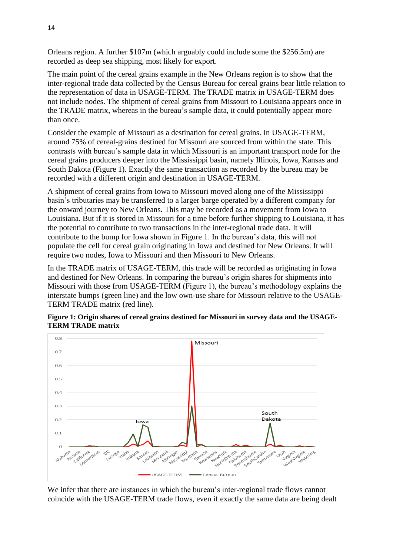Orleans region. A further \$107m (which arguably could include some the \$256.5m) are recorded as deep sea shipping, most likely for export.

The main point of the cereal grains example in the New Orleans region is to show that the inter-regional trade data collected by the Census Bureau for cereal grains bear little relation to the representation of data in USAGE-TERM. The TRADE matrix in USAGE-TERM does not include nodes. The shipment of cereal grains from Missouri to Louisiana appears once in the TRADE matrix, whereas in the bureau's sample data, it could potentially appear more than once.

Consider the example of Missouri as a destination for cereal grains. In USAGE-TERM, around 75% of cereal-grains destined for Missouri are sourced from within the state. This contrasts with bureau's sample data in which Missouri is an important transport node for the cereal grains producers deeper into the Mississippi basin, namely Illinois, Iowa, Kansas and South Dakota (Figure 1). Exactly the same transaction as recorded by the bureau may be recorded with a different origin and destination in USAGE-TERM.

A shipment of cereal grains from Iowa to Missouri moved along one of the Mississippi basin's tributaries may be transferred to a larger barge operated by a different company for the onward journey to New Orleans. This may be recorded as a movement from Iowa to Louisiana. But if it is stored in Missouri for a time before further shipping to Louisiana, it has the potential to contribute to two transactions in the inter-regional trade data. It will contribute to the bump for Iowa shown in Figure 1. In the bureau's data, this will not populate the cell for cereal grain originating in Iowa and destined for New Orleans. It will require two nodes, Iowa to Missouri and then Missouri to New Orleans.

In the TRADE matrix of USAGE-TERM, this trade will be recorded as originating in Iowa and destined for New Orleans. In comparing the bureau's origin shares for shipments into Missouri with those from USAGE-TERM (Figure 1), the bureau's methodology explains the interstate bumps (green line) and the low own-use share for Missouri relative to the USAGE-TERM TRADE matrix (red line).



**Figure 1: Origin shares of cereal grains destined for Missouri in survey data and the USAGE-TERM TRADE matrix**

We infer that there are instances in which the bureau's inter-regional trade flows cannot coincide with the USAGE-TERM trade flows, even if exactly the same data are being dealt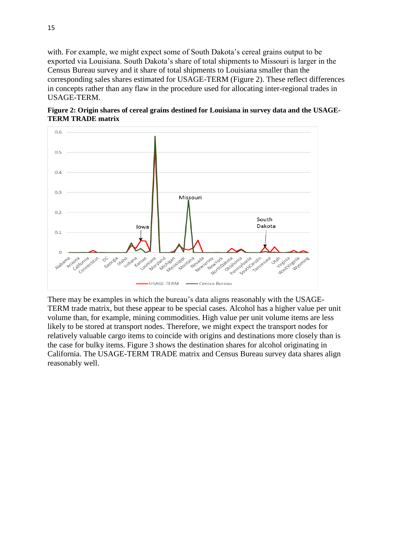with. For example, we might expect some of South Dakota's cereal grains output to be exported via Louisiana. South Dakota's share of total shipments to Missouri is larger in the Census Bureau survey and it share of total shipments to Louisiana smaller than the corresponding sales shares estimated for USAGE-TERM (Figure 2). These reflect differences in concepts rather than any flaw in the procedure used for allocating inter-regional trades in USAGE-TERM.





There may be examples in which the bureau's data aligns reasonably with the USAGE-TERM trade matrix, but these appear to be special cases. Alcohol has a higher value per unit volume than, for example, mining commodities. High value per unit volume items are less likely to be stored at transport nodes. Therefore, we might expect the transport nodes for relatively valuable cargo items to coincide with origins and destinations more closely than is the case for bulky items. Figure 3 shows the destination shares for alcohol originating in California. The USAGE-TERM TRADE matrix and Census Bureau survey data shares align reasonably well.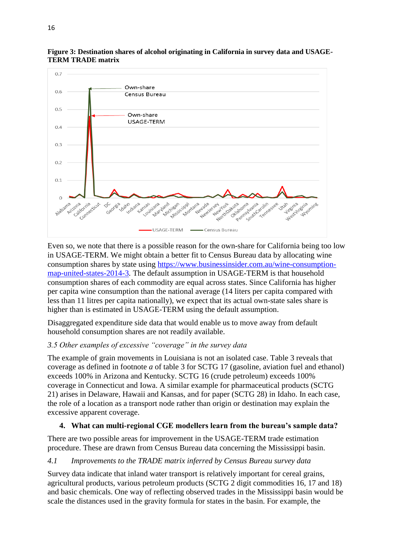

**Figure 3: Destination shares of alcohol originating in California in survey data and USAGE-TERM TRADE matrix**

Even so, we note that there is a possible reason for the own-share for California being too low in USAGE-TERM. We might obtain a better fit to Census Bureau data by allocating wine consumption shares by state using [https://www.businessinsider.com.au/wine-consumption](https://www.businessinsider.com.au/wine-consumption-map-united-states-2014-3)[map-united-states-2014-3](https://www.businessinsider.com.au/wine-consumption-map-united-states-2014-3)*.* The default assumption in USAGE-TERM is that household consumption shares of each commodity are equal across states. Since California has higher per capita wine consumption than the national average (14 liters per capita compared with less than 11 litres per capita nationally), we expect that its actual own-state sales share is higher than is estimated in USAGE-TERM using the default assumption.

Disaggregated expenditure side data that would enable us to move away from default household consumption shares are not readily available.

#### *3.5 Other examples of excessive "coverage" in the survey data*

The example of grain movements in Louisiana is not an isolated case. Table 3 reveals that coverage as defined in footnote *a* of table 3 for SCTG 17 (gasoline, aviation fuel and ethanol) exceeds 100% in Arizona and Kentucky. SCTG 16 (crude petroleum) exceeds 100% coverage in Connecticut and Iowa. A similar example for pharmaceutical products (SCTG 21) arises in Delaware, Hawaii and Kansas, and for paper (SCTG 28) in Idaho. In each case, the role of a location as a transport node rather than origin or destination may explain the excessive apparent coverage.

#### **4. What can multi-regional CGE modellers learn from the bureau's sample data?**

There are two possible areas for improvement in the USAGE-TERM trade estimation procedure. These are drawn from Census Bureau data concerning the Mississippi basin.

#### *4.1 Improvements to the TRADE matrix inferred by Census Bureau survey data*

Survey data indicate that inland water transport is relatively important for cereal grains, agricultural products, various petroleum products (SCTG 2 digit commodities 16, 17 and 18) and basic chemicals. One way of reflecting observed trades in the Mississippi basin would be scale the distances used in the gravity formula for states in the basin. For example, the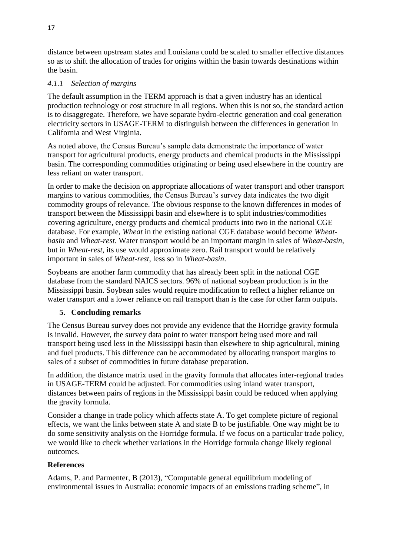distance between upstream states and Louisiana could be scaled to smaller effective distances so as to shift the allocation of trades for origins within the basin towards destinations within the basin.

#### *4.1.1 Selection of margins*

The default assumption in the TERM approach is that a given industry has an identical production technology or cost structure in all regions. When this is not so, the standard action is to disaggregate. Therefore, we have separate hydro-electric generation and coal generation electricity sectors in USAGE-TERM to distinguish between the differences in generation in California and West Virginia.

As noted above, the Census Bureau's sample data demonstrate the importance of water transport for agricultural products, energy products and chemical products in the Mississippi basin. The corresponding commodities originating or being used elsewhere in the country are less reliant on water transport.

In order to make the decision on appropriate allocations of water transport and other transport margins to various commodities, the Census Bureau's survey data indicates the two digit commodity groups of relevance. The obvious response to the known differences in modes of transport between the Mississippi basin and elsewhere is to split industries/commodities covering agriculture, energy products and chemical products into two in the national CGE database. For example, *Wheat* in the existing national CGE database would become *Wheatbasin* and *Wheat-rest*. Water transport would be an important margin in sales of *Wheat-basin*, but in *Wheat-rest*, its use would approximate zero. Rail transport would be relatively important in sales of *Wheat-rest*, less so in *Wheat-basin*.

Soybeans are another farm commodity that has already been split in the national CGE database from the standard NAICS sectors. 96% of national soybean production is in the Mississippi basin. Soybean sales would require modification to reflect a higher reliance on water transport and a lower reliance on rail transport than is the case for other farm outputs.

#### **5. Concluding remarks**

The Census Bureau survey does not provide any evidence that the Horridge gravity formula is invalid. However, the survey data point to water transport being used more and rail transport being used less in the Mississippi basin than elsewhere to ship agricultural, mining and fuel products. This difference can be accommodated by allocating transport margins to sales of a subset of commodities in future database preparation.

In addition, the distance matrix used in the gravity formula that allocates inter-regional trades in USAGE-TERM could be adjusted. For commodities using inland water transport, distances between pairs of regions in the Mississippi basin could be reduced when applying the gravity formula.

Consider a change in trade policy which affects state A. To get complete picture of regional effects, we want the links between state A and state B to be justifiable. One way might be to do some sensitivity analysis on the Horridge formula. If we focus on a particular trade policy, we would like to check whether variations in the Horridge formula change likely regional outcomes.

#### **References**

Adams, P. and Parmenter, B (2013), "Computable general equilibrium modeling of environmental issues in Australia: economic impacts of an emissions trading scheme", in